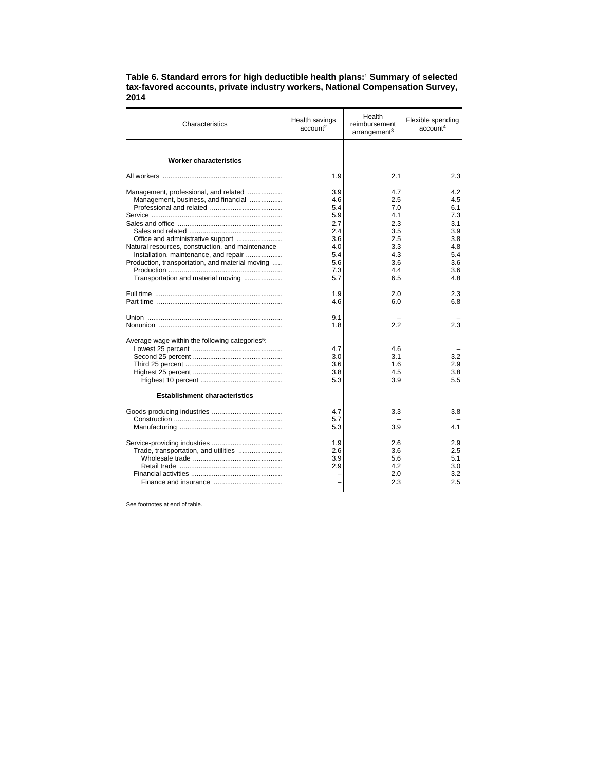## **Table 6. Standard errors for high deductible health plans:**<sup>1</sup>  **Summary of selected tax-favored accounts, private industry workers, National Compensation Survey, 2014**

| Characteristics                                                                          | Health savings<br>account <sup>2</sup> | Health<br>reimbursement<br>arrangement <sup>3</sup> | Flexible spending<br>account <sup>4</sup> |
|------------------------------------------------------------------------------------------|----------------------------------------|-----------------------------------------------------|-------------------------------------------|
|                                                                                          |                                        |                                                     |                                           |
| <b>Worker characteristics</b>                                                            |                                        |                                                     |                                           |
|                                                                                          | 1.9                                    | 2.1                                                 | 2.3                                       |
| Management, professional, and related<br>Management, business, and financial             | 3.9<br>4.6                             | 4.7<br>2.5                                          | 4.2<br>4.5                                |
|                                                                                          | 5.4                                    | 7.0                                                 | 6.1                                       |
|                                                                                          | 5.9<br>2.7                             | 4.1<br>2.3                                          | 7.3<br>3.1                                |
|                                                                                          | 2.4                                    | 3.5                                                 | 3.9                                       |
| Office and administrative support                                                        | 3.6                                    | 2.5                                                 | 3.8                                       |
| Natural resources, construction, and maintenance                                         | 4.0                                    | 3.3                                                 | 4.8                                       |
| Installation, maintenance, and repair<br>Production, transportation, and material moving | 5.4<br>5.6                             | 4.3<br>3.6                                          | 5.4<br>3.6                                |
|                                                                                          | 7.3                                    | 4.4                                                 | 3.6                                       |
| Transportation and material moving                                                       | 5.7                                    | 6.5                                                 | 4.8                                       |
|                                                                                          | 1.9                                    | 2.0                                                 | 2.3                                       |
|                                                                                          | 4.6                                    | 6.0                                                 | 6.8                                       |
|                                                                                          | 9.1<br>1.8                             | 2.2                                                 | 2.3                                       |
|                                                                                          |                                        |                                                     |                                           |
| Average wage within the following categories <sup>5</sup> :                              |                                        |                                                     |                                           |
|                                                                                          | 4.7                                    | 4.6                                                 |                                           |
|                                                                                          | 3.0<br>3.6                             | 3.1<br>1.6                                          | 3.2<br>2.9                                |
|                                                                                          | 3.8                                    | 4.5                                                 | 3.8                                       |
|                                                                                          | 5.3                                    | 3.9                                                 | 5.5                                       |
| <b>Establishment characteristics</b>                                                     |                                        |                                                     |                                           |
|                                                                                          | 4.7                                    | 3.3                                                 | 3.8                                       |
|                                                                                          | 5.7                                    |                                                     |                                           |
|                                                                                          | 5.3                                    | 3.9                                                 | 4.1                                       |
|                                                                                          | 1.9                                    | 2.6                                                 | 2.9                                       |
| Trade, transportation, and utilities                                                     | 2.6                                    | 3.6                                                 | 2.5                                       |
|                                                                                          | 3.9                                    | 5.6                                                 | 5.1                                       |
|                                                                                          | 2.9                                    | 4.2                                                 | 3.0                                       |
|                                                                                          |                                        | 2.0<br>2.3                                          | 3.2<br>2.5                                |
|                                                                                          |                                        |                                                     |                                           |

See footnotes at end of table.